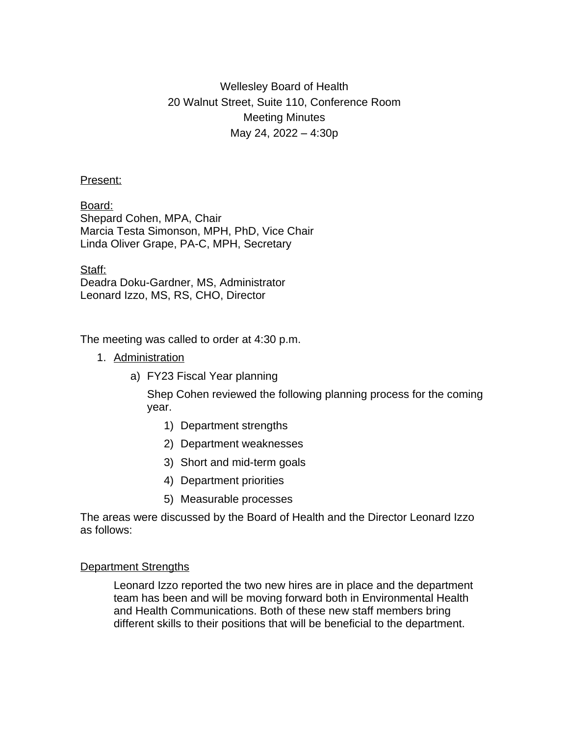# Wellesley Board of Health 20 Walnut Street, Suite 110, Conference Room Meeting Minutes May 24, 2022 – 4:30p

## Present:

Board: Shepard Cohen, MPA, Chair Marcia Testa Simonson, MPH, PhD, Vice Chair Linda Oliver Grape, PA-C, MPH, Secretary

Staff: Deadra Doku-Gardner, MS, Administrator Leonard Izzo, MS, RS, CHO, Director

The meeting was called to order at 4:30 p.m.

- 1. Administration
	- a) FY23 Fiscal Year planning

Shep Cohen reviewed the following planning process for the coming year.

- 1) Department strengths
- 2) Department weaknesses
- 3) Short and mid-term goals
- 4) Department priorities
- 5) Measurable processes

The areas were discussed by the Board of Health and the Director Leonard Izzo as follows:

## Department Strengths

Leonard Izzo reported the two new hires are in place and the department team has been and will be moving forward both in Environmental Health and Health Communications. Both of these new staff members bring different skills to their positions that will be beneficial to the department.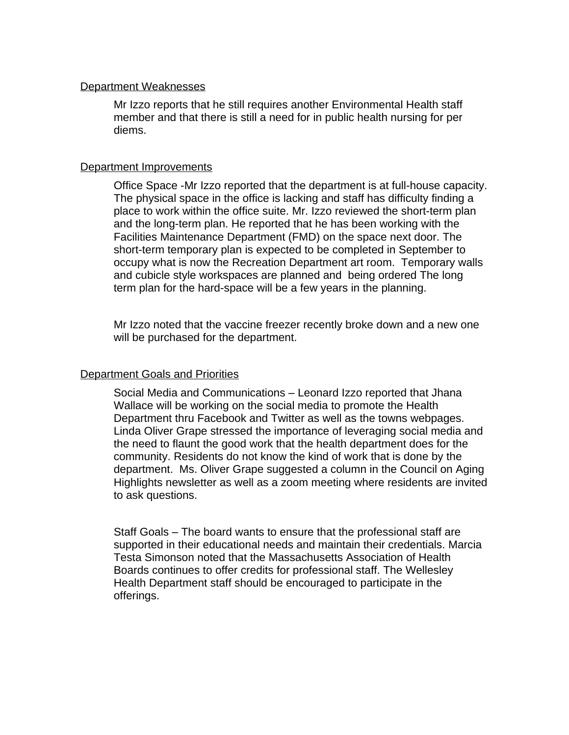#### Department Weaknesses

Mr Izzo reports that he still requires another Environmental Health staff member and that there is still a need for in public health nursing for per diems.

### Department Improvements

Office Space -Mr Izzo reported that the department is at full-house capacity. The physical space in the office is lacking and staff has difficulty finding a place to work within the office suite. Mr. Izzo reviewed the short-term plan and the long-term plan. He reported that he has been working with the Facilities Maintenance Department (FMD) on the space next door. The short-term temporary plan is expected to be completed in September to occupy what is now the Recreation Department art room. Temporary walls and cubicle style workspaces are planned and being ordered The long term plan for the hard-space will be a few years in the planning.

Mr Izzo noted that the vaccine freezer recently broke down and a new one will be purchased for the department.

## Department Goals and Priorities

Social Media and Communications – Leonard Izzo reported that Jhana Wallace will be working on the social media to promote the Health Department thru Facebook and Twitter as well as the towns webpages. Linda Oliver Grape stressed the importance of leveraging social media and the need to flaunt the good work that the health department does for the community. Residents do not know the kind of work that is done by the department. Ms. Oliver Grape suggested a column in the Council on Aging Highlights newsletter as well as a zoom meeting where residents are invited to ask questions.

Staff Goals – The board wants to ensure that the professional staff are supported in their educational needs and maintain their credentials. Marcia Testa Simonson noted that the Massachusetts Association of Health Boards continues to offer credits for professional staff. The Wellesley Health Department staff should be encouraged to participate in the offerings.